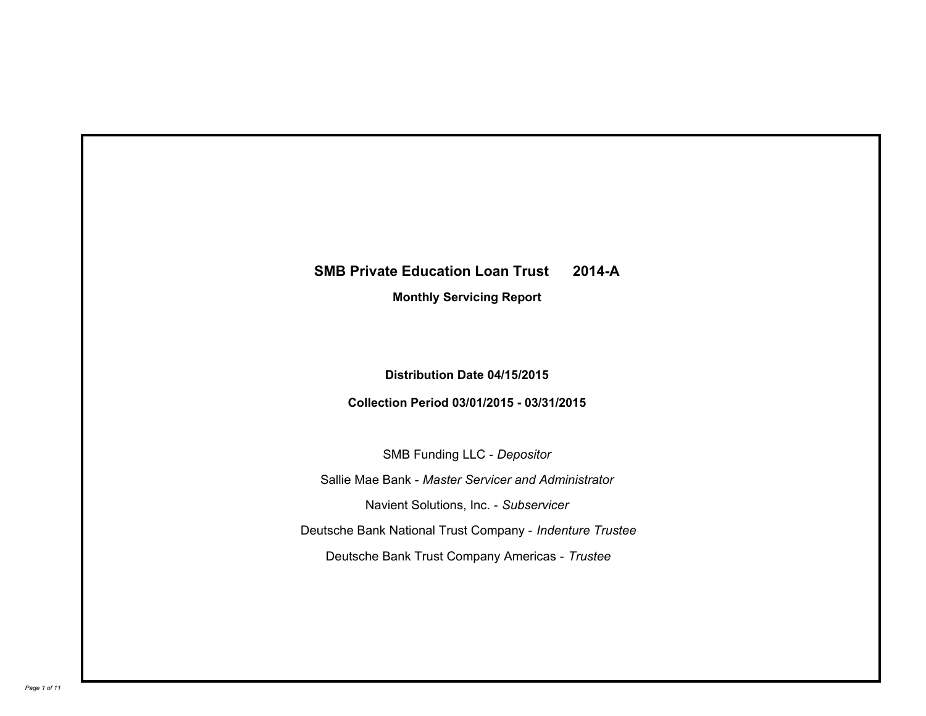# **SMB Private Education Loan Trust 2014-A**

**Monthly Servicing Report**

**Distribution Date 04/15/2015**

**Collection Period 03/01/2015 - 03/31/2015**

SMB Funding LLC - *Depositor* Sallie Mae Bank - *Master Servicer and Administrator* Deutsche Bank National Trust Company - *Indenture Trustee* Deutsche Bank Trust Company Americas - *Trustee* Navient Solutions, Inc. - *Subservicer*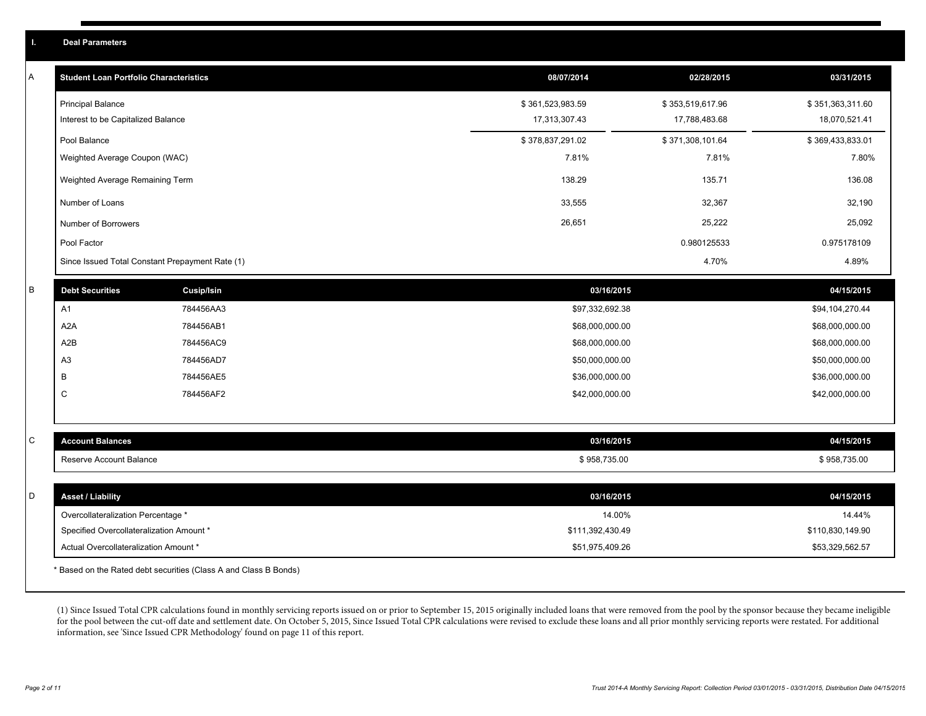| A | <b>Student Loan Portfolio Characteristics</b>   |                   | 08/07/2014       | 02/28/2015       | 03/31/2015       |
|---|-------------------------------------------------|-------------------|------------------|------------------|------------------|
|   |                                                 |                   |                  |                  |                  |
|   | <b>Principal Balance</b>                        |                   | \$361,523,983.59 | \$353,519,617.96 | \$351,363,311.60 |
|   | Interest to be Capitalized Balance              |                   | 17,313,307.43    | 17,788,483.68    | 18,070,521.41    |
|   | Pool Balance                                    |                   | \$378,837,291.02 | \$371,308,101.64 | \$369,433,833.01 |
|   | Weighted Average Coupon (WAC)                   |                   | 7.81%            | 7.81%            | 7.80%            |
|   | Weighted Average Remaining Term                 |                   | 138.29           | 135.71           | 136.08           |
|   | Number of Loans                                 |                   | 33,555           | 32,367           | 32,190           |
|   | Number of Borrowers                             |                   | 26,651           | 25,222           | 25,092           |
|   | Pool Factor                                     |                   |                  | 0.980125533      | 0.975178109      |
|   | Since Issued Total Constant Prepayment Rate (1) |                   |                  | 4.70%            | 4.89%            |
| B | <b>Debt Securities</b>                          | <b>Cusip/Isin</b> | 03/16/2015       |                  | 04/15/2015       |
|   | A1                                              | 784456AA3         | \$97,332,692.38  |                  | \$94,104,270.44  |
|   | A <sub>2</sub> A                                | 784456AB1         | \$68,000,000.00  |                  | \$68,000,000.00  |
|   | A2B                                             | 784456AC9         | \$68,000,000.00  |                  | \$68,000,000.00  |
|   | A <sub>3</sub>                                  | 784456AD7         | \$50,000,000.00  |                  | \$50,000,000.00  |
|   | В                                               | 784456AE5         | \$36,000,000.00  |                  | \$36,000,000.00  |
|   | $\mathsf C$                                     | 784456AF2         | \$42,000,000.00  |                  | \$42,000,000.00  |
|   |                                                 |                   |                  |                  |                  |
| С | <b>Account Balances</b>                         |                   | 03/16/2015       |                  | 04/15/2015       |
|   | Reserve Account Balance                         |                   | \$958,735.00     |                  | \$958,735.00     |
|   |                                                 |                   |                  |                  |                  |
| D | <b>Asset / Liability</b>                        |                   | 03/16/2015       |                  | 04/15/2015       |
|   | Overcollateralization Percentage *              |                   | 14.00%           |                  | 14.44%           |
|   | Specified Overcollateralization Amount *        |                   | \$111,392,430.49 |                  | \$110,830,149.90 |
|   | Actual Overcollateralization Amount *           |                   | \$51,975,409.26  |                  | \$53,329,562.57  |
|   |                                                 |                   |                  |                  |                  |

\* Based on the Rated debt securities (Class A and Class B Bonds)

(1) Since Issued Total CPR calculations found in monthly servicing reports issued on or prior to September 15, 2015 originally included loans that were removed from the pool by the sponsor because they became ineligible for the pool between the cut-off date and settlement date. On October 5, 2015, Since Issued Total CPR calculations were revised to exclude these loans and all prior monthly servicing reports were restated. For additional information, see 'Since Issued CPR Methodology' found on page 11 of this report.

**I. Deal Parameters**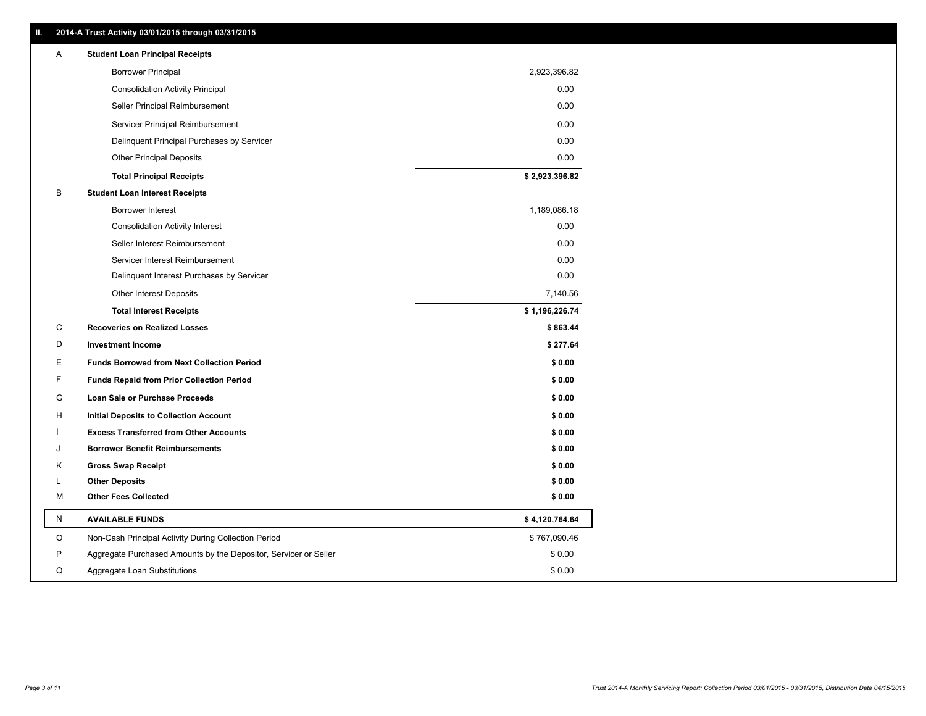|   | 2014-A Trust Activity 03/01/2015 through 03/31/2015              |                |
|---|------------------------------------------------------------------|----------------|
| A | <b>Student Loan Principal Receipts</b>                           |                |
|   | <b>Borrower Principal</b>                                        | 2,923,396.82   |
|   | <b>Consolidation Activity Principal</b>                          | 0.00           |
|   | Seller Principal Reimbursement                                   | 0.00           |
|   | Servicer Principal Reimbursement                                 | 0.00           |
|   | Delinquent Principal Purchases by Servicer                       | 0.00           |
|   | <b>Other Principal Deposits</b>                                  | 0.00           |
|   | <b>Total Principal Receipts</b>                                  | \$2,923,396.82 |
| B | <b>Student Loan Interest Receipts</b>                            |                |
|   | <b>Borrower Interest</b>                                         | 1,189,086.18   |
|   | <b>Consolidation Activity Interest</b>                           | 0.00           |
|   | Seller Interest Reimbursement                                    | 0.00           |
|   | Servicer Interest Reimbursement                                  | 0.00           |
|   | Delinquent Interest Purchases by Servicer                        | 0.00           |
|   | Other Interest Deposits                                          | 7,140.56       |
|   | <b>Total Interest Receipts</b>                                   | \$1,196,226.74 |
| C | <b>Recoveries on Realized Losses</b>                             | \$863.44       |
| D | <b>Investment Income</b>                                         | \$277.64       |
| E | <b>Funds Borrowed from Next Collection Period</b>                | \$0.00         |
| F | <b>Funds Repaid from Prior Collection Period</b>                 | \$0.00         |
| G | Loan Sale or Purchase Proceeds                                   | \$0.00         |
| н | Initial Deposits to Collection Account                           | \$0.00         |
|   | <b>Excess Transferred from Other Accounts</b>                    | \$0.00         |
| J | <b>Borrower Benefit Reimbursements</b>                           | \$0.00         |
| Κ | <b>Gross Swap Receipt</b>                                        | \$0.00         |
| L | <b>Other Deposits</b>                                            | \$0.00         |
| М | <b>Other Fees Collected</b>                                      | \$0.00         |
| N | <b>AVAILABLE FUNDS</b>                                           | \$4,120,764.64 |
| O | Non-Cash Principal Activity During Collection Period             | \$767,090.46   |
| P | Aggregate Purchased Amounts by the Depositor, Servicer or Seller | \$0.00         |
| Q | Aggregate Loan Substitutions                                     | \$0.00         |

**II. 2014-A Trust Activity 03/01/2015 through 03/31/2015**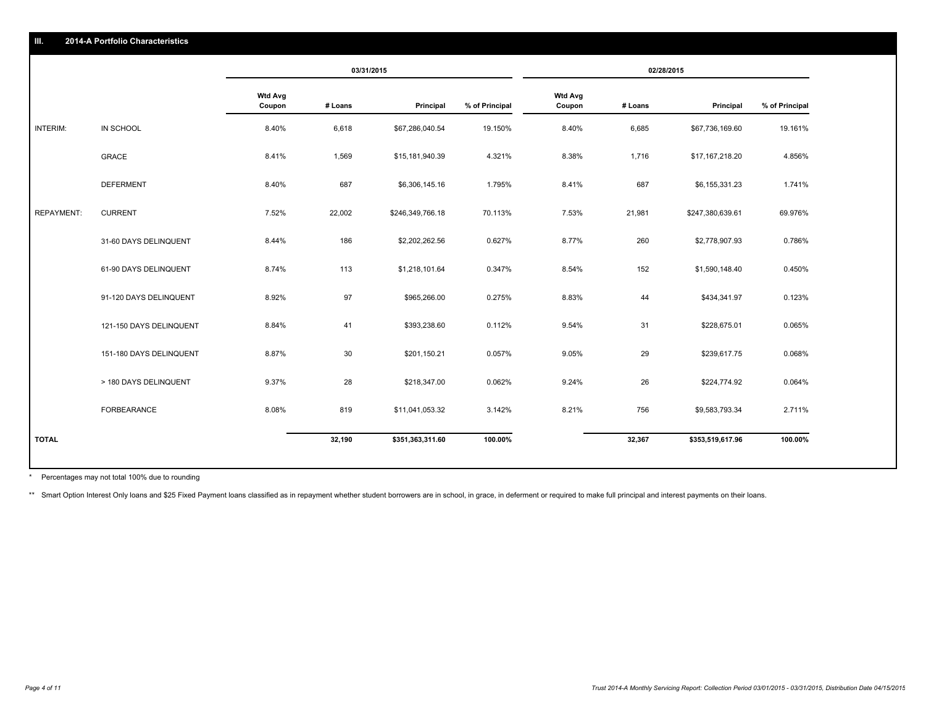|                   |                         | 03/31/2015               |         | 02/28/2015       |                |                          |         |                  |                |
|-------------------|-------------------------|--------------------------|---------|------------------|----------------|--------------------------|---------|------------------|----------------|
|                   |                         | <b>Wtd Avg</b><br>Coupon | # Loans | Principal        | % of Principal | <b>Wtd Avg</b><br>Coupon | # Loans | Principal        | % of Principal |
| INTERIM:          | IN SCHOOL               | 8.40%                    | 6,618   | \$67,286,040.54  | 19.150%        | 8.40%                    | 6,685   | \$67,736,169.60  | 19.161%        |
|                   | <b>GRACE</b>            | 8.41%                    | 1,569   | \$15,181,940.39  | 4.321%         | 8.38%                    | 1,716   | \$17,167,218.20  | 4.856%         |
|                   | <b>DEFERMENT</b>        | 8.40%                    | 687     | \$6,306,145.16   | 1.795%         | 8.41%                    | 687     | \$6,155,331.23   | 1.741%         |
| <b>REPAYMENT:</b> | <b>CURRENT</b>          | 7.52%                    | 22,002  | \$246,349,766.18 | 70.113%        | 7.53%                    | 21,981  | \$247,380,639.61 | 69.976%        |
|                   | 31-60 DAYS DELINQUENT   | 8.44%                    | 186     | \$2,202,262.56   | 0.627%         | 8.77%                    | 260     | \$2,778,907.93   | 0.786%         |
|                   | 61-90 DAYS DELINQUENT   | 8.74%                    | 113     | \$1,218,101.64   | 0.347%         | 8.54%                    | 152     | \$1,590,148.40   | 0.450%         |
|                   | 91-120 DAYS DELINQUENT  | 8.92%                    | 97      | \$965,266.00     | 0.275%         | 8.83%                    | 44      | \$434,341.97     | 0.123%         |
|                   | 121-150 DAYS DELINQUENT | 8.84%                    | 41      | \$393,238.60     | 0.112%         | 9.54%                    | 31      | \$228,675.01     | 0.065%         |
|                   | 151-180 DAYS DELINQUENT | 8.87%                    | 30      | \$201,150.21     | 0.057%         | 9.05%                    | 29      | \$239,617.75     | 0.068%         |
|                   | > 180 DAYS DELINQUENT   | 9.37%                    | 28      | \$218,347.00     | 0.062%         | 9.24%                    | 26      | \$224,774.92     | 0.064%         |
|                   | FORBEARANCE             | 8.08%                    | 819     | \$11,041,053.32  | 3.142%         | 8.21%                    | 756     | \$9,583,793.34   | 2.711%         |
| <b>TOTAL</b>      |                         |                          | 32,190  | \$351,363,311.60 | 100.00%        |                          | 32,367  | \$353,519,617.96 | 100.00%        |

Percentages may not total 100% due to rounding \*

\*\* Smart Option Interest Only loans and \$25 Fixed Payment loans classified as in repayment whether student borrowers are in school, in grace, in deferment or required to make full principal and interest payments on their l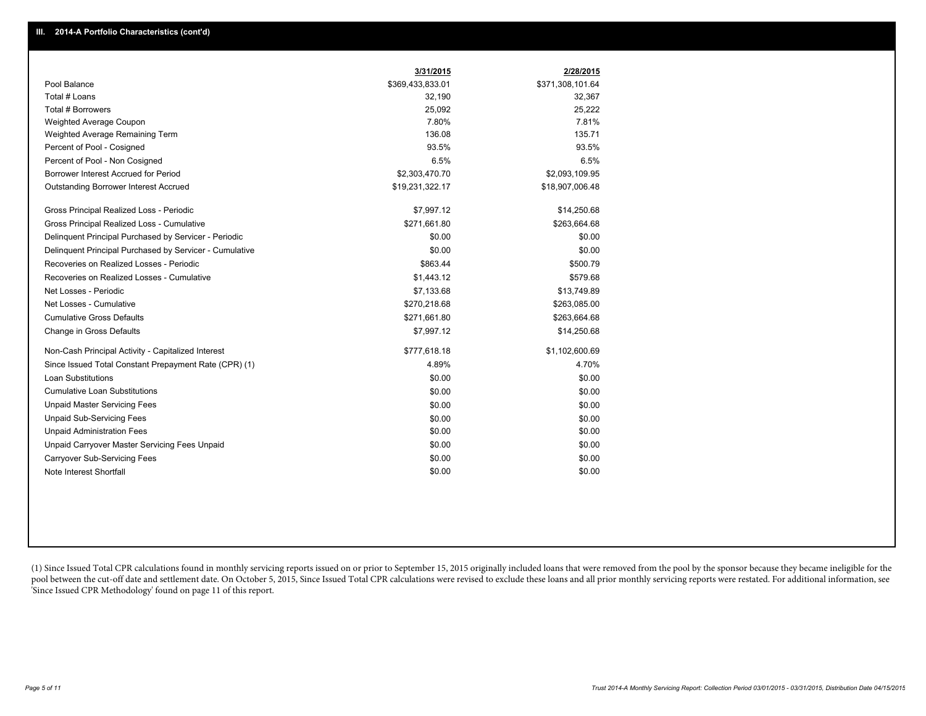|                                                         | 3/31/2015        | 2/28/2015        |
|---------------------------------------------------------|------------------|------------------|
| Pool Balance                                            | \$369,433,833.01 | \$371,308,101.64 |
| Total # Loans                                           | 32,190           | 32,367           |
| <b>Total # Borrowers</b>                                | 25,092           | 25,222           |
| Weighted Average Coupon                                 | 7.80%            | 7.81%            |
| Weighted Average Remaining Term                         | 136.08           | 135.71           |
| Percent of Pool - Cosigned                              | 93.5%            | 93.5%            |
| Percent of Pool - Non Cosigned                          | 6.5%             | 6.5%             |
| Borrower Interest Accrued for Period                    | \$2,303,470.70   | \$2,093,109.95   |
| <b>Outstanding Borrower Interest Accrued</b>            | \$19,231,322.17  | \$18,907,006.48  |
| Gross Principal Realized Loss - Periodic                | \$7,997.12       | \$14,250.68      |
| Gross Principal Realized Loss - Cumulative              | \$271,661.80     | \$263,664.68     |
| Delinquent Principal Purchased by Servicer - Periodic   | \$0.00           | \$0.00           |
| Delinquent Principal Purchased by Servicer - Cumulative | \$0.00           | \$0.00           |
| Recoveries on Realized Losses - Periodic                | \$863.44         | \$500.79         |
| Recoveries on Realized Losses - Cumulative              | \$1,443.12       | \$579.68         |
| Net Losses - Periodic                                   | \$7,133.68       | \$13,749.89      |
| Net Losses - Cumulative                                 | \$270,218.68     | \$263,085.00     |
| <b>Cumulative Gross Defaults</b>                        | \$271,661.80     | \$263,664.68     |
| Change in Gross Defaults                                | \$7,997.12       | \$14,250.68      |
| Non-Cash Principal Activity - Capitalized Interest      | \$777,618.18     | \$1,102,600.69   |
| Since Issued Total Constant Prepayment Rate (CPR) (1)   | 4.89%            | 4.70%            |
| <b>Loan Substitutions</b>                               | \$0.00           | \$0.00           |
| <b>Cumulative Loan Substitutions</b>                    | \$0.00           | \$0.00           |
| <b>Unpaid Master Servicing Fees</b>                     | \$0.00           | \$0.00           |
| <b>Unpaid Sub-Servicing Fees</b>                        | \$0.00           | \$0.00           |
| <b>Unpaid Administration Fees</b>                       | \$0.00           | \$0.00           |
| Unpaid Carryover Master Servicing Fees Unpaid           | \$0.00           | \$0.00           |
| <b>Carryover Sub-Servicing Fees</b>                     | \$0.00           | \$0.00           |
| Note Interest Shortfall                                 | \$0.00           | \$0.00           |

(1) Since Issued Total CPR calculations found in monthly servicing reports issued on or prior to September 15, 2015 originally included loans that were removed from the pool by the sponsor because they became ineligible fo pool between the cut-off date and settlement date. On October 5, 2015, Since Issued Total CPR calculations were revised to exclude these loans and all prior monthly servicing reports were restated. For additional informati 'Since Issued CPR Methodology' found on page 11 of this report.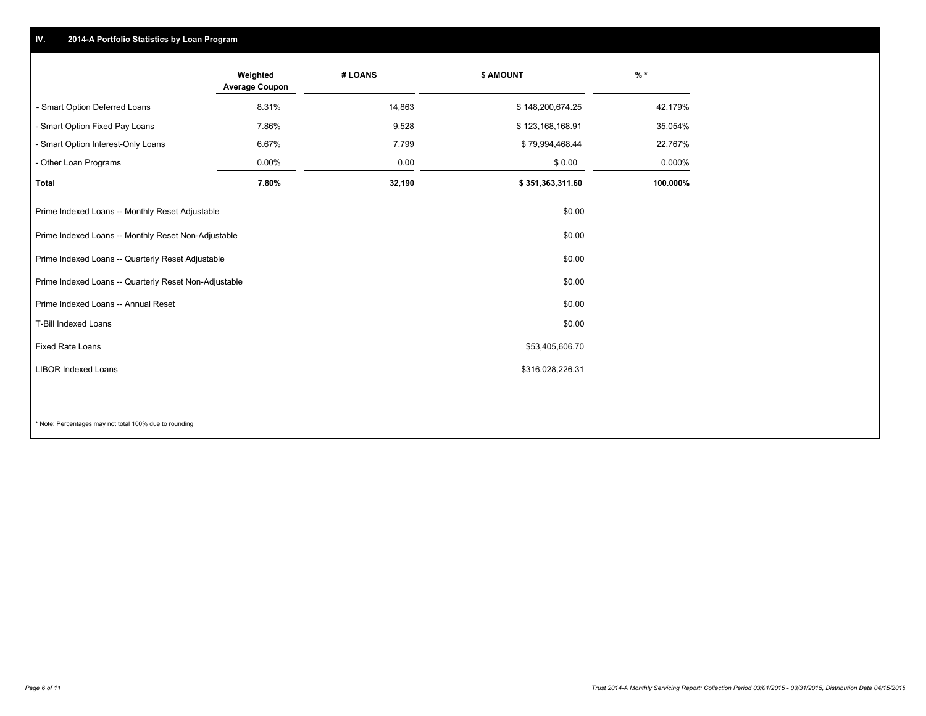### **IV. 2014-A Portfolio Statistics by Loan Program**

|                                                       | Weighted<br><b>Average Coupon</b> | # LOANS | <b>\$ AMOUNT</b> | $\frac{9}{6}$ * |
|-------------------------------------------------------|-----------------------------------|---------|------------------|-----------------|
| - Smart Option Deferred Loans                         | 8.31%                             | 14,863  | \$148,200,674.25 | 42.179%         |
| - Smart Option Fixed Pay Loans                        | 7.86%                             | 9,528   | \$123,168,168.91 | 35.054%         |
| - Smart Option Interest-Only Loans                    | 6.67%                             | 7,799   | \$79,994,468.44  | 22.767%         |
| - Other Loan Programs                                 | 0.00%                             | 0.00    | \$0.00           | 0.000%          |
| <b>Total</b>                                          | 7.80%                             | 32,190  | \$351,363,311.60 | 100.000%        |
| Prime Indexed Loans -- Monthly Reset Adjustable       |                                   |         | \$0.00           |                 |
| Prime Indexed Loans -- Monthly Reset Non-Adjustable   |                                   |         | \$0.00           |                 |
| Prime Indexed Loans -- Quarterly Reset Adjustable     |                                   |         | \$0.00           |                 |
| Prime Indexed Loans -- Quarterly Reset Non-Adjustable |                                   |         | \$0.00           |                 |
| Prime Indexed Loans -- Annual Reset                   |                                   |         | \$0.00           |                 |
| <b>T-Bill Indexed Loans</b>                           |                                   |         | \$0.00           |                 |
| <b>Fixed Rate Loans</b>                               |                                   |         | \$53,405,606.70  |                 |
| <b>LIBOR Indexed Loans</b>                            |                                   |         | \$316,028,226.31 |                 |
|                                                       |                                   |         |                  |                 |

\* Note: Percentages may not total 100% due to rounding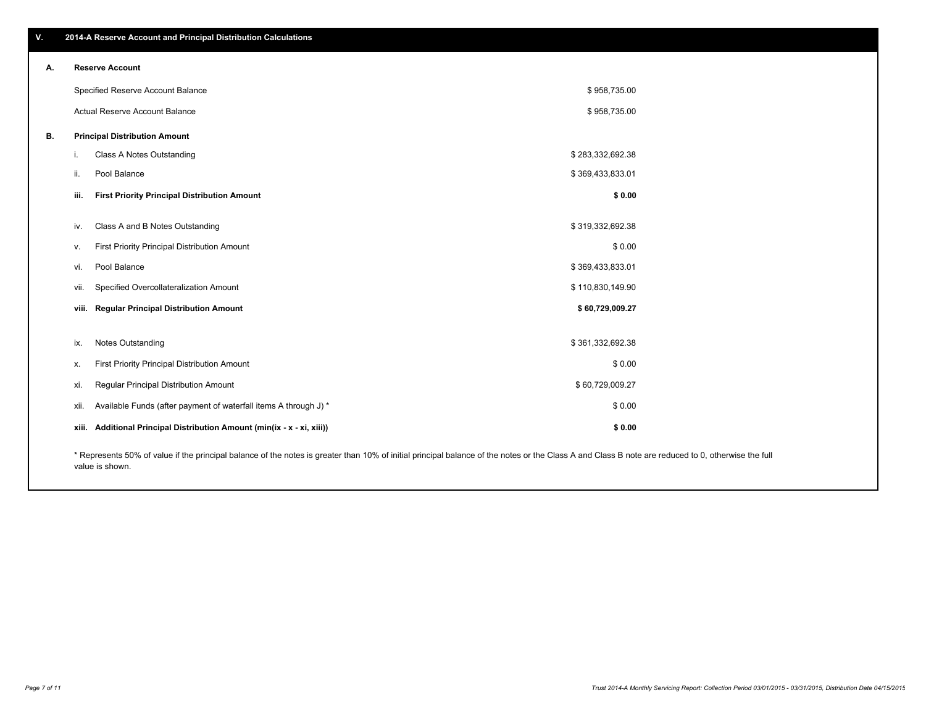| А. | <b>Reserve Account</b>                                                                                                                                                                             |                                                                         |                  |  |
|----|----------------------------------------------------------------------------------------------------------------------------------------------------------------------------------------------------|-------------------------------------------------------------------------|------------------|--|
|    |                                                                                                                                                                                                    | Specified Reserve Account Balance                                       | \$958,735.00     |  |
|    | <b>Actual Reserve Account Balance</b>                                                                                                                                                              |                                                                         | \$958,735.00     |  |
| В. |                                                                                                                                                                                                    | <b>Principal Distribution Amount</b>                                    |                  |  |
|    | Ι.                                                                                                                                                                                                 | Class A Notes Outstanding                                               | \$283,332,692.38 |  |
|    | ii.                                                                                                                                                                                                | Pool Balance                                                            | \$369,433,833.01 |  |
|    | iii.                                                                                                                                                                                               | <b>First Priority Principal Distribution Amount</b>                     | \$0.00           |  |
|    | iv.                                                                                                                                                                                                | Class A and B Notes Outstanding                                         | \$319,332,692.38 |  |
|    | v.                                                                                                                                                                                                 | First Priority Principal Distribution Amount                            | \$0.00           |  |
|    | vi.                                                                                                                                                                                                | Pool Balance                                                            | \$369,433,833.01 |  |
|    | vii.                                                                                                                                                                                               | Specified Overcollateralization Amount                                  | \$110,830,149.90 |  |
|    | viii.                                                                                                                                                                                              | <b>Regular Principal Distribution Amount</b>                            | \$60,729,009.27  |  |
|    | ix.                                                                                                                                                                                                | <b>Notes Outstanding</b>                                                | \$361,332,692.38 |  |
|    | х.                                                                                                                                                                                                 | First Priority Principal Distribution Amount                            | \$0.00           |  |
|    | xi.                                                                                                                                                                                                | Regular Principal Distribution Amount                                   | \$60,729,009.27  |  |
|    | xii.                                                                                                                                                                                               | Available Funds (after payment of waterfall items A through J) *        | \$0.00           |  |
|    |                                                                                                                                                                                                    | xiii. Additional Principal Distribution Amount (min(ix - x - xi, xiii)) | \$0.00           |  |
|    | * Represents 50% of value if the principal balance of the notes is greater than 10% of initial principal balance of the notes or the Class A and Class B note are reduced to 0, otherwise the full |                                                                         |                  |  |

epresents 50% of value if the principal balance of the notes is greater than 10% of initial principal balance of the notes or the Class A and Class B note are reduced to 0, otherwise the full value is shown.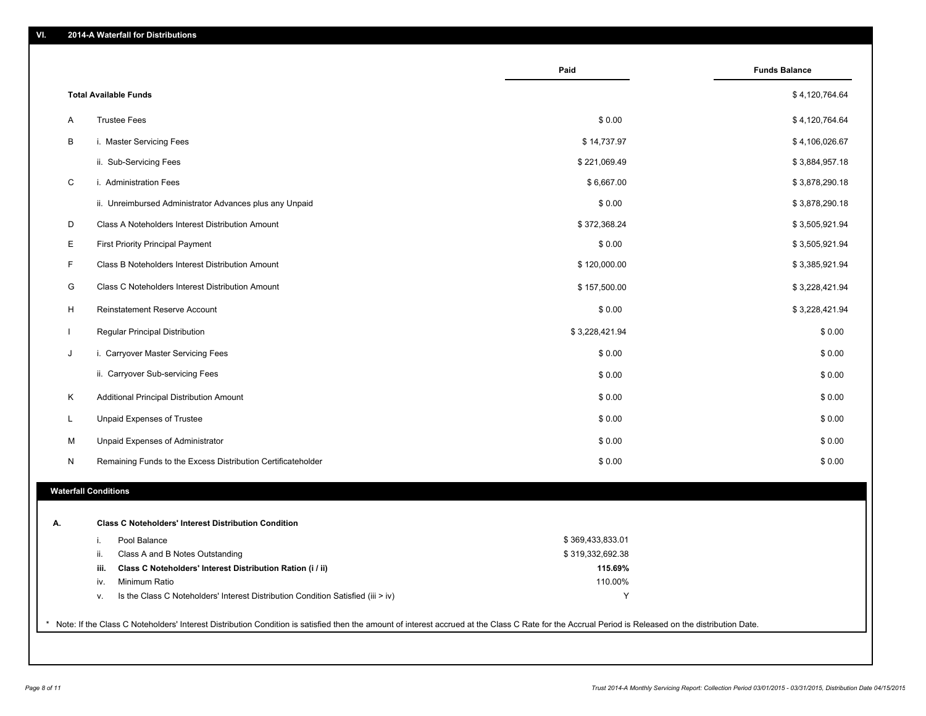|    |                                                                                        | Paid             | <b>Funds Balance</b> |
|----|----------------------------------------------------------------------------------------|------------------|----------------------|
|    | <b>Total Available Funds</b>                                                           |                  | \$4,120,764.64       |
| Α  | <b>Trustee Fees</b>                                                                    | \$0.00           | \$4,120,764.64       |
| В  | i. Master Servicing Fees                                                               | \$14,737.97      | \$4,106,026.67       |
|    | ii. Sub-Servicing Fees                                                                 | \$221,069.49     | \$3,884,957.18       |
| C  | i. Administration Fees                                                                 | \$6,667.00       | \$3,878,290.18       |
|    | ii. Unreimbursed Administrator Advances plus any Unpaid                                | \$0.00           | \$3,878,290.18       |
| D  | Class A Noteholders Interest Distribution Amount                                       | \$372,368.24     | \$3,505,921.94       |
| Ε  | <b>First Priority Principal Payment</b>                                                | \$0.00           | \$3,505,921.94       |
| F  | Class B Noteholders Interest Distribution Amount                                       | \$120,000.00     | \$3,385,921.94       |
| G  | Class C Noteholders Interest Distribution Amount                                       | \$157,500.00     | \$3,228,421.94       |
| н  | Reinstatement Reserve Account                                                          | \$0.00           | \$3,228,421.94       |
| L  | Regular Principal Distribution                                                         | \$3,228,421.94   | \$0.00               |
| J  | i. Carryover Master Servicing Fees                                                     | \$0.00           | \$0.00               |
|    | ii. Carryover Sub-servicing Fees                                                       | \$0.00           | \$0.00               |
| Κ  | Additional Principal Distribution Amount                                               | \$0.00           | \$0.00               |
| L  | Unpaid Expenses of Trustee                                                             | \$0.00           | \$0.00               |
| М  | Unpaid Expenses of Administrator                                                       | \$0.00           | \$0.00               |
| N  | Remaining Funds to the Excess Distribution Certificateholder                           | \$0.00           | \$0.00               |
|    | <b>Waterfall Conditions</b>                                                            |                  |                      |
|    |                                                                                        |                  |                      |
| А. | <b>Class C Noteholders' Interest Distribution Condition</b>                            |                  |                      |
|    | Pool Balance<br>i.                                                                     | \$369,433,833.01 |                      |
|    | Class A and B Notes Outstanding<br>ii.                                                 | \$319,332,692.38 |                      |
|    | Class C Noteholders' Interest Distribution Ration (i / ii)<br>iii.                     | 115.69%          |                      |
|    | Minimum Ratio<br>iv.                                                                   | 110.00%          |                      |
|    | Is the Class C Noteholders' Interest Distribution Condition Satisfied (iii > iv)<br>v. | Y                |                      |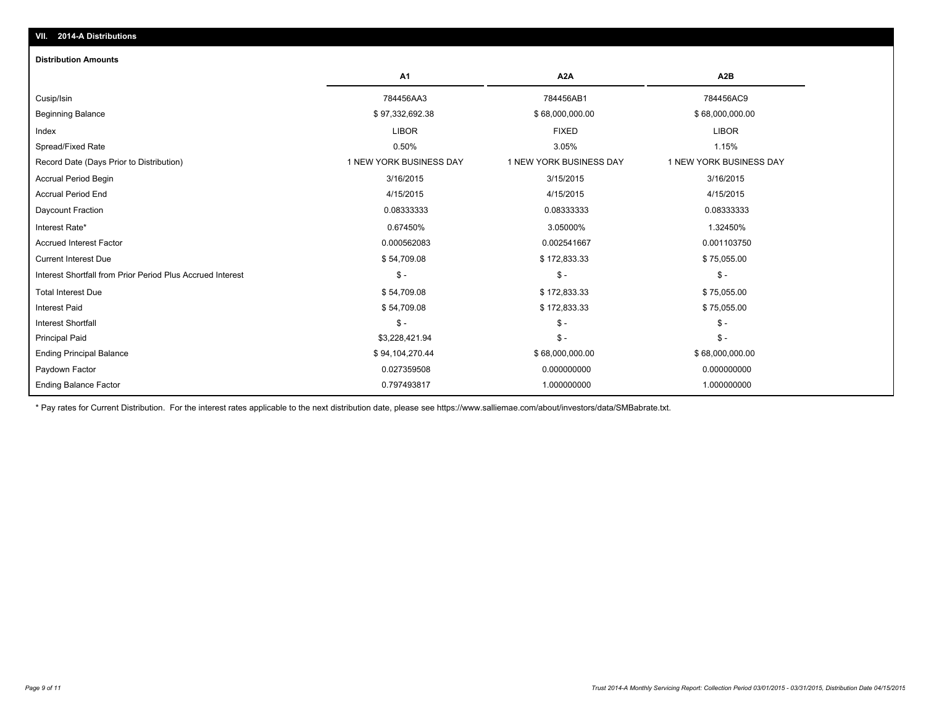#### **Distribution Amounts**

|                                                            | A1                      | A <sub>2</sub> A        | A <sub>2</sub> B        |
|------------------------------------------------------------|-------------------------|-------------------------|-------------------------|
| Cusip/Isin                                                 | 784456AA3               | 784456AB1               | 784456AC9               |
| <b>Beginning Balance</b>                                   | \$97,332,692.38         | \$68,000,000.00         | \$68,000,000.00         |
| Index                                                      | <b>LIBOR</b>            | <b>FIXED</b>            | <b>LIBOR</b>            |
| Spread/Fixed Rate                                          | 0.50%                   | 3.05%                   | 1.15%                   |
| Record Date (Days Prior to Distribution)                   | 1 NEW YORK BUSINESS DAY | 1 NEW YORK BUSINESS DAY | 1 NEW YORK BUSINESS DAY |
| <b>Accrual Period Begin</b>                                | 3/16/2015               | 3/15/2015               | 3/16/2015               |
| <b>Accrual Period End</b>                                  | 4/15/2015               | 4/15/2015               | 4/15/2015               |
| Daycount Fraction                                          | 0.08333333              | 0.08333333              | 0.08333333              |
| Interest Rate*                                             | 0.67450%                | 3.05000%                | 1.32450%                |
| <b>Accrued Interest Factor</b>                             | 0.000562083             | 0.002541667             | 0.001103750             |
| <b>Current Interest Due</b>                                | \$54,709.08             | \$172,833.33            | \$75,055.00             |
| Interest Shortfall from Prior Period Plus Accrued Interest | $\mathsf{\$}$ -         | $S -$                   | $$ -$                   |
| <b>Total Interest Due</b>                                  | \$54,709.08             | \$172,833.33            | \$75,055.00             |
| <b>Interest Paid</b>                                       | \$54,709.08             | \$172,833.33            | \$75,055.00             |
| <b>Interest Shortfall</b>                                  | $\mathsf{\$}$ -         | $S -$                   | $$ -$                   |
| <b>Principal Paid</b>                                      | \$3,228,421.94          | $\mathsf{\$}$ -         | $$ -$                   |
| <b>Ending Principal Balance</b>                            | \$94,104,270.44         | \$68,000,000.00         | \$68,000,000.00         |
| Paydown Factor                                             | 0.027359508             | 0.000000000             | 0.000000000             |
| Ending Balance Factor                                      | 0.797493817             | 1.000000000             | 1.000000000             |

\* Pay rates for Current Distribution. For the interest rates applicable to the next distribution date, please see https://www.salliemae.com/about/investors/data/SMBabrate.txt.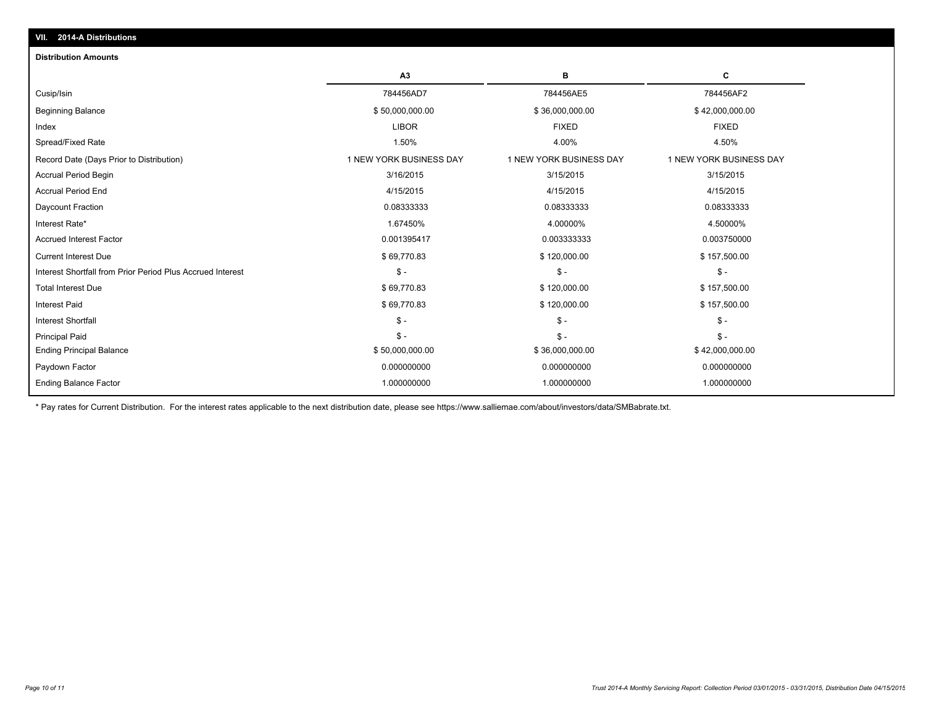| VII. 2014-A Distributions                                  |                         |                         |                         |  |  |
|------------------------------------------------------------|-------------------------|-------------------------|-------------------------|--|--|
| <b>Distribution Amounts</b>                                |                         |                         |                         |  |  |
|                                                            | A3                      | в                       | C                       |  |  |
| Cusip/Isin                                                 | 784456AD7               | 784456AE5               | 784456AF2               |  |  |
| <b>Beginning Balance</b>                                   | \$50,000,000.00         | \$36,000,000.00         | \$42,000,000.00         |  |  |
| Index                                                      | <b>LIBOR</b>            | <b>FIXED</b>            | <b>FIXED</b>            |  |  |
| Spread/Fixed Rate                                          | 1.50%                   | 4.00%                   | 4.50%                   |  |  |
| Record Date (Days Prior to Distribution)                   | 1 NEW YORK BUSINESS DAY | 1 NEW YORK BUSINESS DAY | 1 NEW YORK BUSINESS DAY |  |  |
| <b>Accrual Period Begin</b>                                | 3/16/2015               | 3/15/2015               | 3/15/2015               |  |  |
| <b>Accrual Period End</b>                                  | 4/15/2015               | 4/15/2015               | 4/15/2015               |  |  |
| Daycount Fraction                                          | 0.08333333              | 0.08333333              | 0.08333333              |  |  |
| Interest Rate*                                             | 1.67450%                | 4.00000%                | 4.50000%                |  |  |
| <b>Accrued Interest Factor</b>                             | 0.001395417             | 0.003333333             | 0.003750000             |  |  |
| <b>Current Interest Due</b>                                | \$69,770.83             | \$120,000.00            | \$157,500.00            |  |  |
| Interest Shortfall from Prior Period Plus Accrued Interest | $\mathsf{\$}$ -         | $S -$                   | $\frac{2}{3}$ -         |  |  |
| <b>Total Interest Due</b>                                  | \$69,770.83             | \$120,000.00            | \$157,500.00            |  |  |
| <b>Interest Paid</b>                                       | \$69,770.83             | \$120,000.00            | \$157,500.00            |  |  |
| <b>Interest Shortfall</b>                                  | $\mathsf{\$}$ -         | $\mathsf{\$}$ -         | $\frac{2}{3}$ -         |  |  |
| <b>Principal Paid</b>                                      | $\mathsf{\$}$ -         | $S -$                   | $S -$                   |  |  |
| <b>Ending Principal Balance</b>                            | \$50,000,000.00         | \$36,000,000.00         | \$42,000,000.00         |  |  |
| Paydown Factor                                             | 0.000000000             | 0.000000000             | 0.000000000             |  |  |
| <b>Ending Balance Factor</b>                               | 1.000000000             | 1.000000000             | 1.000000000             |  |  |

\* Pay rates for Current Distribution. For the interest rates applicable to the next distribution date, please see https://www.salliemae.com/about/investors/data/SMBabrate.txt.